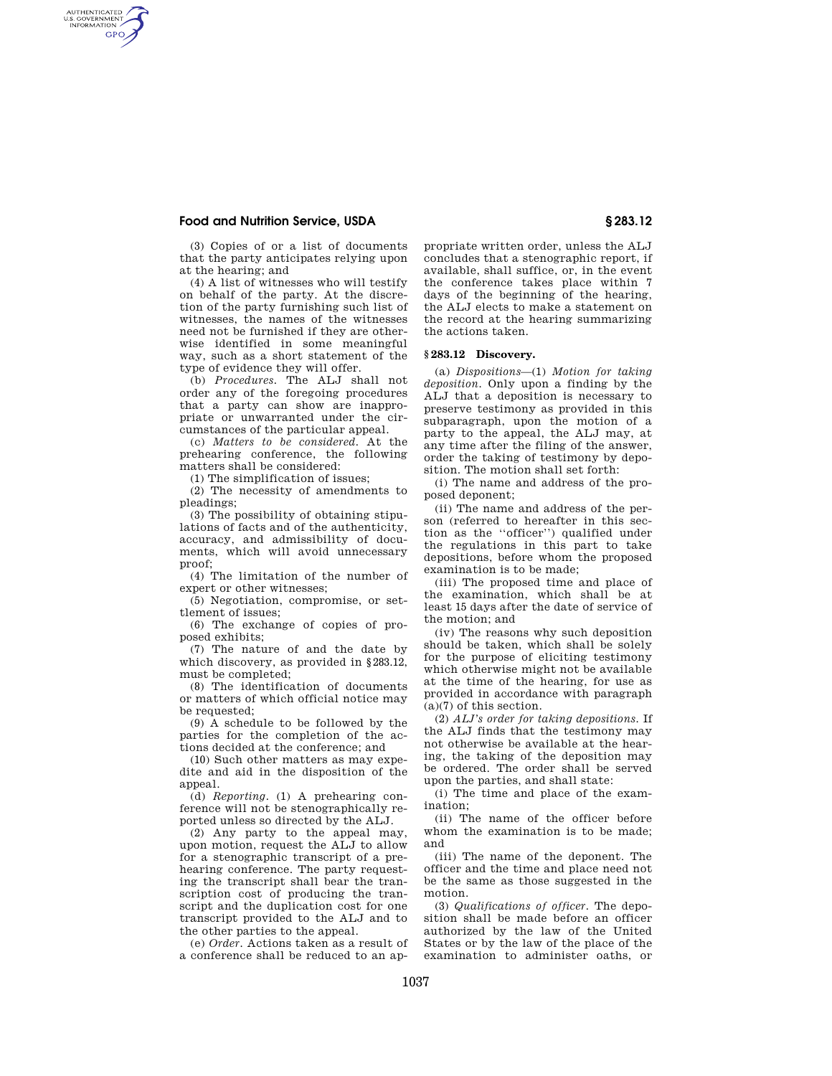# **Food and Nutrition Service, USDA § 283.12**

AUTHENTICATED<br>U.S. GOVERNMENT<br>INFORMATION **GPO** 

> (3) Copies of or a list of documents that the party anticipates relying upon at the hearing; and

(4) A list of witnesses who will testify on behalf of the party. At the discretion of the party furnishing such list of witnesses, the names of the witnesses need not be furnished if they are otherwise identified in some meaningful way, such as a short statement of the type of evidence they will offer.

(b) *Procedures.* The ALJ shall not order any of the foregoing procedures that a party can show are inappropriate or unwarranted under the circumstances of the particular appeal.

(c) *Matters to be considered.* At the prehearing conference, the following matters shall be considered:

(1) The simplification of issues;

(2) The necessity of amendments to pleadings;

(3) The possibility of obtaining stipulations of facts and of the authenticity, accuracy, and admissibility of documents, which will avoid unnecessary proof;

(4) The limitation of the number of expert or other witnesses;

(5) Negotiation, compromise, or settlement of issues;

(6) The exchange of copies of proposed exhibits;

(7) The nature of and the date by which discovery, as provided in §283.12, must be completed;

(8) The identification of documents or matters of which official notice may be requested;

(9) A schedule to be followed by the parties for the completion of the actions decided at the conference; and

(10) Such other matters as may expedite and aid in the disposition of the appeal.

(d) *Reporting.* (1) A prehearing conference will not be stenographically reported unless so directed by the ALJ.

(2) Any party to the appeal may, upon motion, request the ALJ to allow for a stenographic transcript of a prehearing conference. The party requesting the transcript shall bear the transcription cost of producing the transcript and the duplication cost for one transcript provided to the ALJ and to the other parties to the appeal.

(e) *Order.* Actions taken as a result of a conference shall be reduced to an ap-

propriate written order, unless the ALJ concludes that a stenographic report, if available, shall suffice, or, in the event the conference takes place within 7 days of the beginning of the hearing, the ALJ elects to make a statement on the record at the hearing summarizing the actions taken.

# **§ 283.12 Discovery.**

(a) *Dispositions*—(1) *Motion for taking deposition.* Only upon a finding by the ALJ that a deposition is necessary to preserve testimony as provided in this subparagraph, upon the motion of a party to the appeal, the ALJ may, at any time after the filing of the answer, order the taking of testimony by deposition. The motion shall set forth:

(i) The name and address of the proposed deponent;

(ii) The name and address of the person (referred to hereafter in this section as the ''officer'') qualified under the regulations in this part to take depositions, before whom the proposed examination is to be made;

(iii) The proposed time and place of the examination, which shall be at least 15 days after the date of service of the motion; and

(iv) The reasons why such deposition should be taken, which shall be solely for the purpose of eliciting testimony which otherwise might not be available at the time of the hearing, for use as provided in accordance with paragraph  $(a)(7)$  of this section.

(2) *ALJ's order for taking depositions.* If the ALJ finds that the testimony may not otherwise be available at the hearing, the taking of the deposition may be ordered. The order shall be served upon the parties, and shall state:

(i) The time and place of the examination;

(ii) The name of the officer before whom the examination is to be made; and

(iii) The name of the deponent. The officer and the time and place need not be the same as those suggested in the motion.

(3) *Qualifications of officer.* The deposition shall be made before an officer authorized by the law of the United States or by the law of the place of the examination to administer oaths, or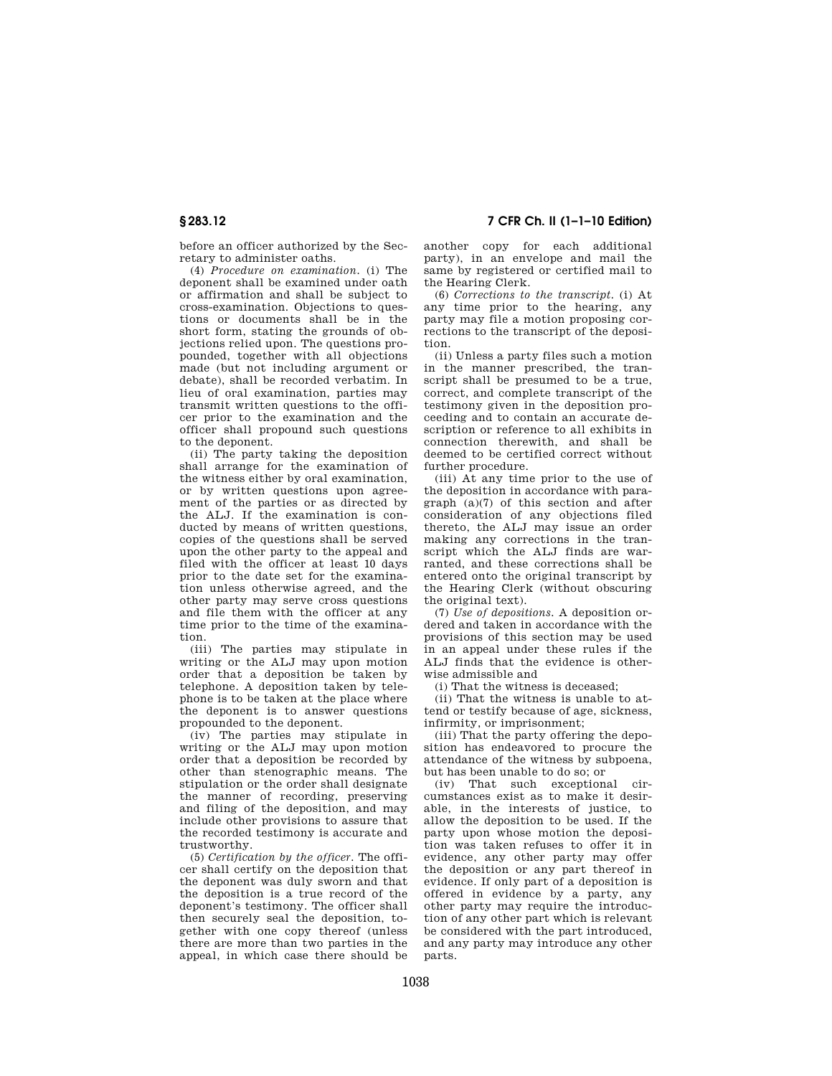before an officer authorized by the Secretary to administer oaths.

(4) *Procedure on examination.* (i) The deponent shall be examined under oath or affirmation and shall be subject to cross-examination. Objections to questions or documents shall be in the short form, stating the grounds of objections relied upon. The questions propounded, together with all objections made (but not including argument or debate), shall be recorded verbatim. In lieu of oral examination, parties may transmit written questions to the officer prior to the examination and the officer shall propound such questions to the deponent.

(ii) The party taking the deposition shall arrange for the examination of the witness either by oral examination, or by written questions upon agreement of the parties or as directed by the ALJ. If the examination is conducted by means of written questions, copies of the questions shall be served upon the other party to the appeal and filed with the officer at least 10 days prior to the date set for the examination unless otherwise agreed, and the other party may serve cross questions and file them with the officer at any time prior to the time of the examination.

(iii) The parties may stipulate in writing or the ALJ may upon motion order that a deposition be taken by telephone. A deposition taken by telephone is to be taken at the place where the deponent is to answer questions propounded to the deponent.

(iv) The parties may stipulate in writing or the ALJ may upon motion order that a deposition be recorded by other than stenographic means. The stipulation or the order shall designate the manner of recording, preserving and filing of the deposition, and may include other provisions to assure that the recorded testimony is accurate and trustworthy.

(5) *Certification by the officer.* The officer shall certify on the deposition that the deponent was duly sworn and that the deposition is a true record of the deponent's testimony. The officer shall then securely seal the deposition, together with one copy thereof (unless there are more than two parties in the appeal, in which case there should be

**§ 283.12 7 CFR Ch. II (1–1–10 Edition)** 

another copy for each additional party), in an envelope and mail the same by registered or certified mail to the Hearing Clerk.

(6) *Corrections to the transcript.* (i) At any time prior to the hearing, any party may file a motion proposing corrections to the transcript of the deposition.

(ii) Unless a party files such a motion in the manner prescribed, the transcript shall be presumed to be a true, correct, and complete transcript of the testimony given in the deposition proceeding and to contain an accurate description or reference to all exhibits in connection therewith, and shall be deemed to be certified correct without further procedure.

(iii) At any time prior to the use of the deposition in accordance with paragraph (a)(7) of this section and after consideration of any objections filed thereto, the ALJ may issue an order making any corrections in the transcript which the ALJ finds are warranted, and these corrections shall be entered onto the original transcript by the Hearing Clerk (without obscuring the original text).

(7) *Use of depositions.* A deposition ordered and taken in accordance with the provisions of this section may be used in an appeal under these rules if the ALJ finds that the evidence is otherwise admissible and

(i) That the witness is deceased;

(ii) That the witness is unable to attend or testify because of age, sickness, infirmity, or imprisonment;

(iii) That the party offering the deposition has endeavored to procure the attendance of the witness by subpoena, but has been unable to do so; or

(iv) That such exceptional circumstances exist as to make it desirable, in the interests of justice, to allow the deposition to be used. If the party upon whose motion the deposition was taken refuses to offer it in evidence, any other party may offer the deposition or any part thereof in evidence. If only part of a deposition is offered in evidence by a party, any other party may require the introduction of any other part which is relevant be considered with the part introduced, and any party may introduce any other parts.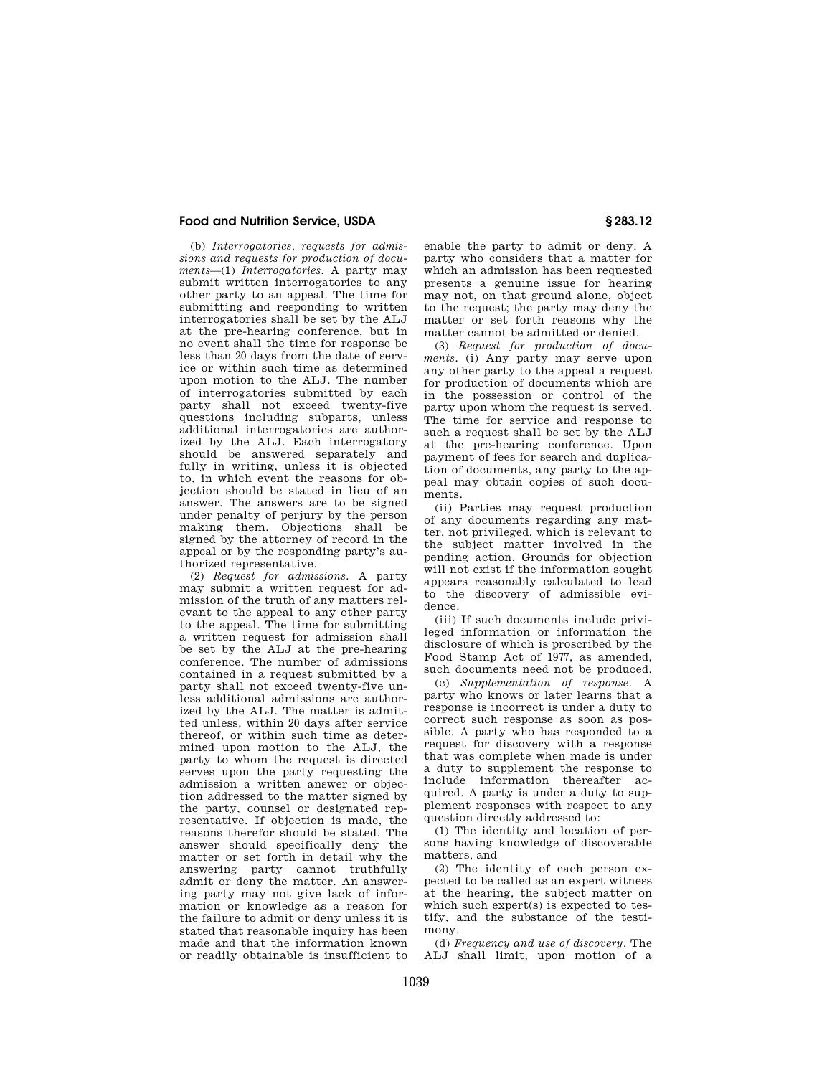# **Food and Nutrition Service, USDA § 283.12**

(b) *Interrogatories, requests for admissions and requests for production of documents*—(1) *Interrogatories.* A party may submit written interrogatories to any other party to an appeal. The time for submitting and responding to written interrogatories shall be set by the ALJ at the pre-hearing conference, but in no event shall the time for response be less than 20 days from the date of service or within such time as determined upon motion to the ALJ. The number of interrogatories submitted by each party shall not exceed twenty-five questions including subparts, unless additional interrogatories are authorized by the ALJ. Each interrogatory should be answered separately and fully in writing, unless it is objected to, in which event the reasons for objection should be stated in lieu of an answer. The answers are to be signed under penalty of perjury by the person making them. Objections shall be signed by the attorney of record in the appeal or by the responding party's authorized representative.

(2) *Request for admissions.* A party may submit a written request for admission of the truth of any matters relevant to the appeal to any other party to the appeal. The time for submitting a written request for admission shall be set by the ALJ at the pre-hearing conference. The number of admissions contained in a request submitted by a party shall not exceed twenty-five unless additional admissions are authorized by the ALJ. The matter is admitted unless, within 20 days after service thereof, or within such time as determined upon motion to the ALJ, the party to whom the request is directed serves upon the party requesting the admission a written answer or objection addressed to the matter signed by the party, counsel or designated representative. If objection is made, the reasons therefor should be stated. The answer should specifically deny the matter or set forth in detail why the answering party cannot truthfully admit or deny the matter. An answering party may not give lack of information or knowledge as a reason for the failure to admit or deny unless it is stated that reasonable inquiry has been made and that the information known or readily obtainable is insufficient to

enable the party to admit or deny. A party who considers that a matter for which an admission has been requested presents a genuine issue for hearing may not, on that ground alone, object to the request; the party may deny the matter or set forth reasons why the matter cannot be admitted or denied.

(3) *Request for production of documents.* (i) Any party may serve upon any other party to the appeal a request for production of documents which are in the possession or control of the party upon whom the request is served. The time for service and response to such a request shall be set by the ALJ at the pre-hearing conference. Upon payment of fees for search and duplication of documents, any party to the appeal may obtain copies of such documents.

(ii) Parties may request production of any documents regarding any matter, not privileged, which is relevant to the subject matter involved in the pending action. Grounds for objection will not exist if the information sought appears reasonably calculated to lead to the discovery of admissible evidence.

(iii) If such documents include privileged information or information the disclosure of which is proscribed by the Food Stamp Act of 1977, as amended, such documents need not be produced.

(c) *Supplementation of response.* A party who knows or later learns that a response is incorrect is under a duty to correct such response as soon as possible. A party who has responded to a request for discovery with a response that was complete when made is under a duty to supplement the response to include information thereafter acquired. A party is under a duty to supplement responses with respect to any question directly addressed to:

(1) The identity and location of persons having knowledge of discoverable matters, and

(2) The identity of each person expected to be called as an expert witness at the hearing, the subject matter on which such expert(s) is expected to testify, and the substance of the testimony.

(d) *Frequency and use of discovery.* The ALJ shall limit, upon motion of a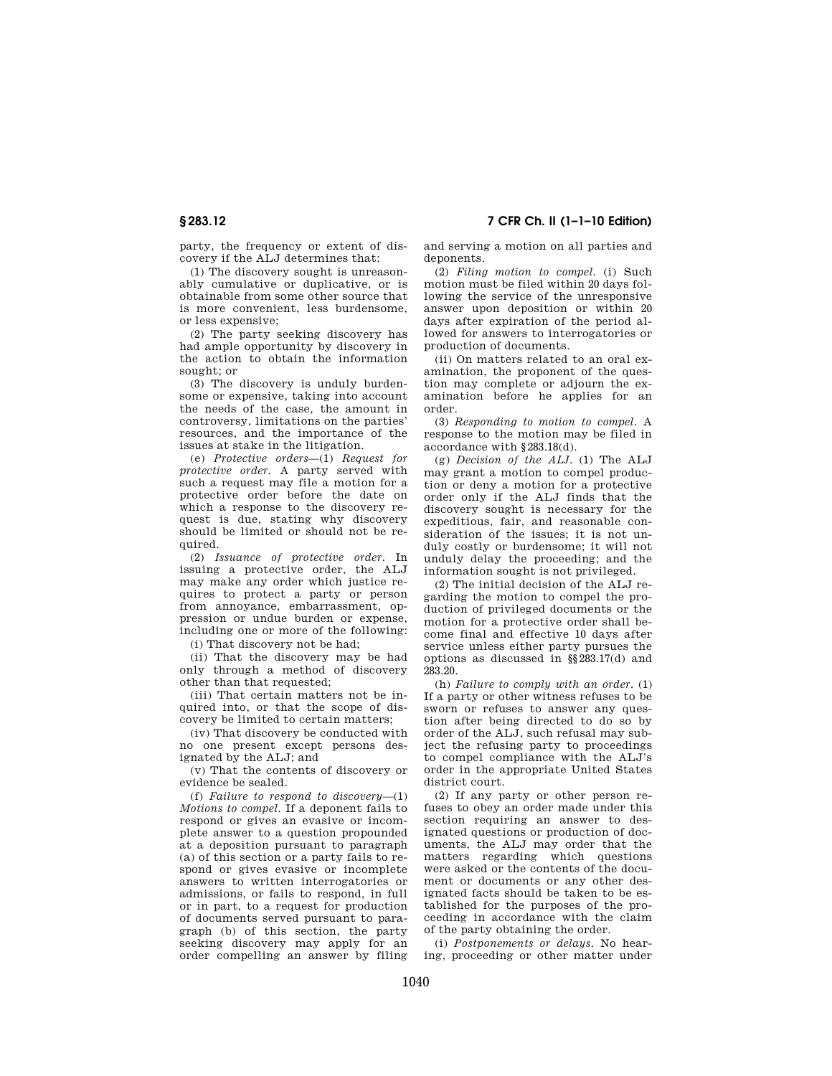party, the frequency or extent of discovery if the ALJ determines that:

(1) The discovery sought is unreasonably cumulative or duplicative, or is obtainable from some other source that is more convenient, less burdensome, or less expensive;

(2) The party seeking discovery has had ample opportunity by discovery in the action to obtain the information sought; or

(3) The discovery is unduly burdensome or expensive, taking into account the needs of the case, the amount in controversy, limitations on the parties' resources, and the importance of the issues at stake in the litigation.

(e) *Protective orders*—(1) *Request for protective order.* A party served with such a request may file a motion for a protective order before the date on which a response to the discovery request is due, stating why discovery should be limited or should not be required.

(2) *Issuance of protective order.* In issuing a protective order, the ALJ may make any order which justice requires to protect a party or person from annoyance, embarrassment, oppression or undue burden or expense, including one or more of the following:

(i) That discovery not be had;

(ii) That the discovery may be had only through a method of discovery other than that requested;

(iii) That certain matters not be inquired into, or that the scope of discovery be limited to certain matters;

(iv) That discovery be conducted with no one present except persons designated by the ALJ; and

(v) That the contents of discovery or evidence be sealed.

(f) *Failure to respond to discovery*—(1) *Motions to compel.* If a deponent fails to respond or gives an evasive or incomplete answer to a question propounded at a deposition pursuant to paragraph (a) of this section or a party fails to respond or gives evasive or incomplete answers to written interrogatories or admissions, or fails to respond, in full or in part, to a request for production of documents served pursuant to paragraph (b) of this section, the party seeking discovery may apply for an order compelling an answer by filing

and serving a motion on all parties and deponents.

(2) *Filing motion to compel.* (i) Such motion must be filed within 20 days following the service of the unresponsive answer upon deposition or within 20 days after expiration of the period allowed for answers to interrogatories or production of documents.

(ii) On matters related to an oral examination, the proponent of the question may complete or adjourn the examination before he applies for an order.

(3) *Responding to motion to compel.* A response to the motion may be filed in accordance with §283.18(d).

(g) *Decision of the ALJ.* (1) The ALJ may grant a motion to compel production or deny a motion for a protective order only if the ALJ finds that the discovery sought is necessary for the expeditious, fair, and reasonable consideration of the issues; it is not unduly costly or burdensome; it will not unduly delay the proceeding; and the information sought is not privileged.

(2) The initial decision of the ALJ regarding the motion to compel the production of privileged documents or the motion for a protective order shall become final and effective 10 days after service unless either party pursues the options as discussed in §§283.17(d) and 283.20.

(h) *Failure to comply with an order.* (1) If a party or other witness refuses to be sworn or refuses to answer any question after being directed to do so by order of the ALJ, such refusal may subject the refusing party to proceedings to compel compliance with the ALJ's order in the appropriate United States district court.

(2) If any party or other person refuses to obey an order made under this section requiring an answer to designated questions or production of documents, the ALJ may order that the matters regarding which questions were asked or the contents of the document or documents or any other designated facts should be taken to be established for the purposes of the proceeding in accordance with the claim of the party obtaining the order.

(i) *Postponements or delays.* No hearing, proceeding or other matter under